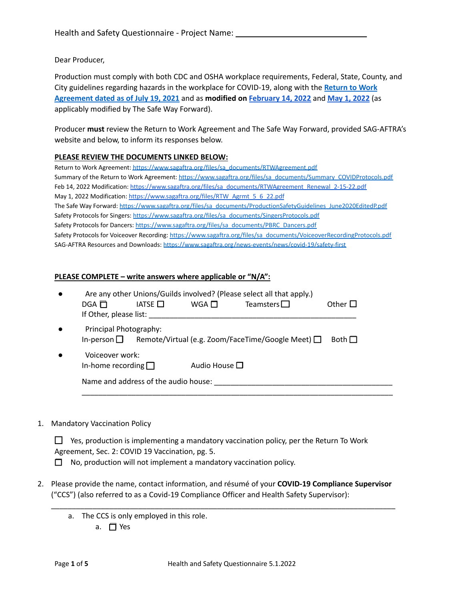Dear Producer,

Production must comply with both CDC and OSHA workplace requirements, Federal, State, County, and City guidelines regarding hazards in the workplace for COVID-19, along with the **[Return](https://www.sagaftra.org/files/sa_documents/RTWAgreement.pdf) to Work [Agreement](https://www.sagaftra.org/files/sa_documents/RTWAgreement.pdf) dated as of July 19, 2021** and as **modified on [February](https://www.sagaftra.org/files/sa_documents/RTWAgreement_Renewal_2-15-22.pdf) 14, 2022** and **May 1, [2022](https://www.sagaftra.org/files/RTW_Agrmt_5_6_22.pdf)** (as applicably modified by The Safe Way Forward).

Producer **must** review the Return to Work Agreement and The Safe Way Forward, provided SAG-AFTRA's website and below, to inform its responses below.

#### **PLEASE REVIEW THE DOCUMENTS LINKED BELOW:**

Return to Work Agreement: [https://www.sagaftra.org/files/sa\\_documents/RTWAgreement.pdf](https://www.sagaftra.org/files/sa_documents/RTWAgreement.pdf) Summary of the Return to Work Agreement: [https://www.sagaftra.org/files/sa\\_documents/Summary\\_COVIDProtocols.pdf](https://www.sagaftra.org/files/sa_documents/Summary_COVIDProtocols.pdf) Feb 14, 2022 Modification: [https://www.sagaftra.org/files/sa\\_documents/RTWAgreement\\_Renewal\\_2-15-22.pdf](https://www.sagaftra.org/files/sa_documents/RTWAgreement_Renewal_2-15-22.pdf) May 1, 2022 Modification: [https://www.sagaftra.org/files/RTW\\_Agrmt\\_5\\_6\\_22.pdf](https://www.sagaftra.org/files/RTW_Agrmt_5_6_22.pdf) The Safe Way Forward: [https://www.sagaftra.org/files/sa\\_documents/ProductionSafetyGuidelines\\_June2020EditedP.pdf](https://www.sagaftra.org/files/sa_documents/ProductionSafetyGuidelines_June2020EditedP.pdf) Safety Protocols for Singers: [https://www.sagaftra.org/files/sa\\_documents/SingersProtocols.pdf](https://www.sagaftra.org/files/sa_documents/SingersProtocols.pdf) Safety Protocols for Dancers: [https://www.sagaftra.org/files/sa\\_documents/PBRC\\_Dancers.pdf](https://www.sagaftra.org/files/sa_documents/PBRC_Dancers.pdf) Safety Protocols for Voiceover Recording: [https://www.sagaftra.org/files/sa\\_documents/VoiceoverRecordingProtocols.pdf](https://www.sagaftra.org/files/sa_documents/VoiceoverRecordingProtocols.pdf) SAG-AFTRA Resources and Downloads: <https://www.sagaftra.org/news-events/news/covid-19/safety-first>

#### **PLEASE COMPLETE – write answers where applicable or "N/A":**

| $\bullet$ | $DGA$ $\Pi$<br>If Other, please list:                                               | IATSE $\Box$ | WGA $\Box$         | Are any other Unions/Guilds involved? (Please select all that apply.)<br>Teamsters $\Box$ | Other $\square$ |
|-----------|-------------------------------------------------------------------------------------|--------------|--------------------|-------------------------------------------------------------------------------------------|-----------------|
| $\bullet$ | Principal Photography:                                                              |              |                    | In-person $\Box$ Remote/Virtual (e.g. Zoom/FaceTime/Google Meet) $\Box$                   | Both $\Box$     |
| $\bullet$ | Voiceover work:<br>In-home recording $\Box$<br>Name and address of the audio house: |              | Audio House $\Box$ |                                                                                           |                 |
|           |                                                                                     |              |                    |                                                                                           |                 |

1. Mandatory Vaccination Policy

 $\Box$  Yes, production is implementing a mandatory vaccination policy, per the Return To Work Agreement, Sec. 2: COVID 19 Vaccination, pg. 5. ☐ No, production will not implement a mandatory vaccination policy.

2. Please provide the name, contact information, and résumé of your **COVID-19 Compliance Supervisor** ("CCS") (also referred to as a Covid-19 Compliance Officer and Health Safety Supervisor):

\_\_\_\_\_\_\_\_\_\_\_\_\_\_\_\_\_\_\_\_\_\_\_\_\_\_\_\_\_\_\_\_\_\_\_\_\_\_\_\_\_\_\_\_\_\_\_\_\_\_\_\_\_\_\_\_\_\_\_\_\_\_\_\_\_\_\_\_\_\_\_\_\_\_\_\_\_\_\_\_\_\_\_

a. The CCS is only employed in this role. a. ☐ Yes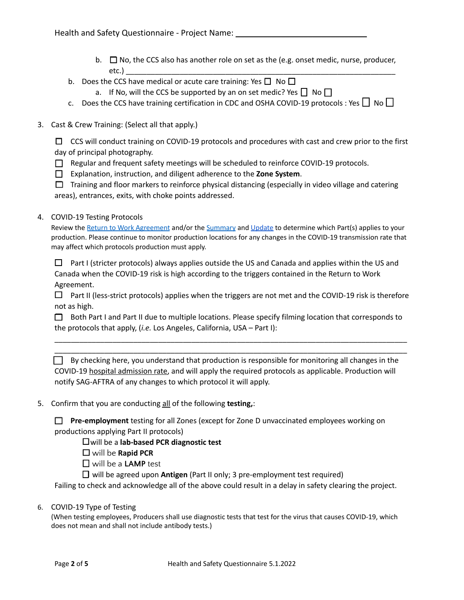- b.  $\Box$  No, the CCS also has another role on set as the (e.g. onset medic, nurse, producer, etc.) \_\_\_\_\_\_\_\_\_\_\_\_\_\_\_\_\_\_\_\_\_\_\_\_\_\_\_\_\_\_\_\_\_\_\_\_\_\_\_\_\_\_\_\_\_\_\_\_\_\_\_\_\_\_\_\_\_\_\_\_\_\_\_\_\_
- b. Does the CCS have medical or acute care training: Yes  $\square$  No  $\square$ 
	- a. If No, will the CCS be supported by an on set medic? Yes  $\Box$  No  $\Box$
- c. Does the CCS have training certification in CDC and OSHA COVID-19 protocols : Yes  $\Box$  No  $\Box$
- 3. Cast & Crew Training: (Select all that apply.)

 $\Box$  CCS will conduct training on COVID-19 protocols and procedures with cast and crew prior to the first day of principal photography.

- ☐ Regular and frequent safety meetings will be scheduled to reinforce COVID-19 protocols.
- ☐ Explanation, instruction, and diligent adherence to the **Zone System**.

 $\Box$  Training and floor markers to reinforce physical distancing (especially in video village and catering areas), entrances, exits, with choke points addressed.

## 4. COVID-19 Testing Protocols

Review the Return to Work [Agreement](https://www.sagaftra.org/files/sa_documents/RTWAgreement.pdf) and/or the [Summary](https://www.sagaftra.org/files/sa_documents/Summary_COVIDProtocols.pdf) and [Update](https://www.sagaftra.org/files/RTW_Agrmt_5_6_22.pdf) to determine which Part(s) applies to your production. Please continue to monitor production locations for any changes in the COVID-19 transmission rate that may affect which protocols production must apply.

 $\Box$  Part I (stricter protocols) always applies outside the US and Canada and applies within the US and Canada when the COVID-19 risk is high according to the triggers contained in the Return to Work Agreement.

 $\Box$  Part II (less-strict protocols) applies when the triggers are not met and the COVID-19 risk is therefore not as high.

 $\Box$  Both Part I and Part II due to multiple locations. Please specify filming location that corresponds to the protocols that apply, (*i.e.* Los Angeles, California, USA – Part I):

\_\_\_\_\_\_\_\_\_\_\_\_\_\_\_\_\_\_\_\_\_\_\_\_\_\_\_\_\_\_\_\_\_\_\_\_\_\_\_\_\_\_\_\_\_\_\_\_\_\_\_\_\_\_\_\_\_\_\_\_\_\_\_\_\_\_\_\_\_\_\_\_\_\_\_\_\_\_\_\_\_\_\_\_\_ \_\_\_\_\_\_\_\_\_\_\_\_\_\_\_\_\_\_\_\_\_\_\_\_\_\_\_\_\_\_\_\_\_\_\_\_\_\_\_\_\_\_\_\_\_\_\_\_\_\_\_\_\_\_\_\_\_\_\_\_\_\_\_\_\_\_\_\_\_\_\_\_\_\_\_\_\_\_\_\_\_\_\_\_\_

☐ By checking here, you understand that production is responsible for monitoring all changes in the COVID-19 hospital admission rate, and will apply the required protocols as applicable. Production will notify SAG-AFTRA of any changes to which protocol it will apply.

5. Confirm that you are conducting all of the following **testing,**:

□ **Pre-employment** testing for all Zones (except for Zone D unvaccinated employees working on productions applying Part II protocols)

☐will be a **lab-based PCR diagnostic test**

☐ will be **Rapid PCR**

☐ will be a **LAMP** test

☐ will be agreed upon **Antigen** (Part II only; 3 pre-employment test required)

Failing to check and acknowledge all of the above could result in a delay in safety clearing the project.

6. COVID-19 Type of Testing

(When testing employees, Producers shall use diagnostic tests that test for the virus that causes COVID-19, which does not mean and shall not include antibody tests.)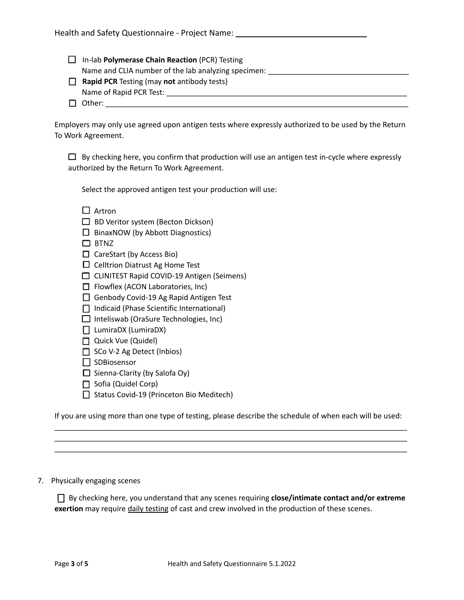|        | In-lab Polymerase Chain Reaction (PCR) Testing      |
|--------|-----------------------------------------------------|
|        | Name and CLIA number of the lab analyzing specimen: |
| $\Box$ | <b>Rapid PCR</b> Testing (may not antibody tests)   |
|        | Name of Rapid PCR Test:                             |
|        | $\Box$ Other:                                       |

Employers may only use agreed upon antigen tests where expressly authorized to be used by the Return To Work Agreement.

 $\Box$  By checking here, you confirm that production will use an antigen test in-cycle where expressly authorized by the Return To Work Agreement.

Select the approved antigen test your production will use:

| Artron |  |
|--------|--|
|--------|--|

- □ BD Veritor system (Becton Dickson)
- ☐ BinaxNOW (by Abbott Diagnostics)
- ☐ BTNZ
- ☐ CareStart (by Access Bio)
- □ Celltrion Diatrust Ag Home Test
- ☐ CLINITEST Rapid COVID-19 Antigen (Seimens)
- ☐ Flowflex (ACON Laboratories, Inc)
- □ Genbody Covid-19 Ag Rapid Antigen Test
- ☐ Indicaid (Phase Scientific International)
- ☐ Inteliswab (OraSure Technologies, Inc)
- ☐ LumiraDX (LumiraDX)
- □ Quick Vue (Quidel)
- ☐ SCo V-2 Ag Detect (Inbios)
- □ SDBiosensor
- $\Box$  Sienna-Clarity (by Salofa Oy)
- □ Sofia (Quidel Corp)
- □ Status Covid-19 (Princeton Bio Meditech)

If you are using more than one type of testing, please describe the schedule of when each will be used: \_\_\_\_\_\_\_\_\_\_\_\_\_\_\_\_\_\_\_\_\_\_\_\_\_\_\_\_\_\_\_\_\_\_\_\_\_\_\_\_\_\_\_\_\_\_\_\_\_\_\_\_\_\_\_\_\_\_\_\_\_\_\_\_\_\_\_\_\_\_\_\_\_\_\_\_\_\_\_\_\_\_\_\_\_

\_\_\_\_\_\_\_\_\_\_\_\_\_\_\_\_\_\_\_\_\_\_\_\_\_\_\_\_\_\_\_\_\_\_\_\_\_\_\_\_\_\_\_\_\_\_\_\_\_\_\_\_\_\_\_\_\_\_\_\_\_\_\_\_\_\_\_\_\_\_\_\_\_\_\_\_\_\_\_\_\_\_\_\_\_ \_\_\_\_\_\_\_\_\_\_\_\_\_\_\_\_\_\_\_\_\_\_\_\_\_\_\_\_\_\_\_\_\_\_\_\_\_\_\_\_\_\_\_\_\_\_\_\_\_\_\_\_\_\_\_\_\_\_\_\_\_\_\_\_\_\_\_\_\_\_\_\_\_\_\_\_\_\_\_\_\_\_\_\_\_

7. Physically engaging scenes

☐ By checking here, you understand that any scenes requiring **close/intimate contact and/or extreme** exertion may require daily testing of cast and crew involved in the production of these scenes.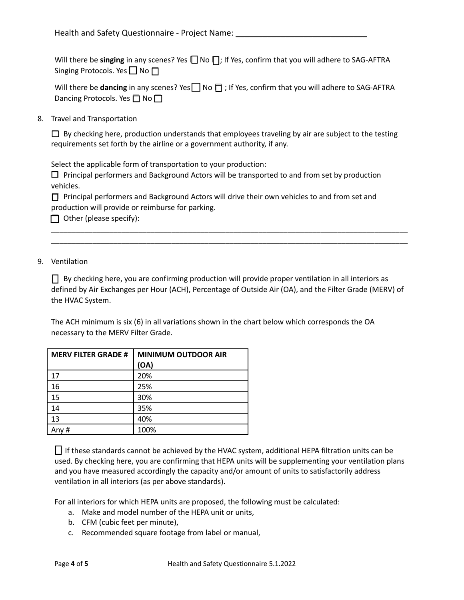Will there be **singing** in any scenes? Yes **□** No **□**; If Yes, confirm that you will adhere to SAG-AFTRA Singing Protocols. Yes  $\Box$  No  $\Box$ 

Will there be **dancing** in any scenes? Yes **□** No □ ; If Yes, confirm that you will adhere to SAG-AFTRA Dancing Protocols. Yes □ No □

8. Travel and Transportation

 $\Box$  By checking here, production understands that employees traveling by air are subject to the testing requirements set forth by the airline or a government authority, if any.

Select the applicable form of transportation to your production:

 $\Box$  Principal performers and Background Actors will be transported to and from set by production vehicles.

□ Principal performers and Background Actors will drive their own vehicles to and from set and production will provide or reimburse for parking.

 $\Box$  Other (please specify):

## 9. Ventilation

 $\Box$  By checking here, you are confirming production will provide proper ventilation in all interiors as defined by Air Exchanges per Hour (ACH), Percentage of Outside Air (OA), and the Filter Grade (MERV) of the HVAC System.

\_\_\_\_\_\_\_\_\_\_\_\_\_\_\_\_\_\_\_\_\_\_\_\_\_\_\_\_\_\_\_\_\_\_\_\_\_\_\_\_\_\_\_\_\_\_\_\_\_\_\_\_\_\_\_\_\_\_\_\_\_\_\_\_\_\_\_\_\_\_\_\_\_\_\_\_\_\_\_\_\_\_\_\_\_\_ \_\_\_\_\_\_\_\_\_\_\_\_\_\_\_\_\_\_\_\_\_\_\_\_\_\_\_\_\_\_\_\_\_\_\_\_\_\_\_\_\_\_\_\_\_\_\_\_\_\_\_\_\_\_\_\_\_\_\_\_\_\_\_\_\_\_\_\_\_\_\_\_\_\_\_\_\_\_\_\_\_\_\_\_\_\_

The ACH minimum is six (6) in all variations shown in the chart below which corresponds the OA necessary to the MERV Filter Grade.

| <b>MERV FILTER GRADE #</b> | <b>MINIMUM OUTDOOR AIR</b> |  |
|----------------------------|----------------------------|--|
|                            | (OA)                       |  |
| 17                         | 20%                        |  |
| 16                         | 25%                        |  |
| 15                         | 30%                        |  |
| 14                         | 35%                        |  |
| 13                         | 40%                        |  |
| Any#                       | 100%                       |  |

□ If these standards cannot be achieved by the HVAC system, additional HEPA filtration units can be used. By checking here, you are confirming that HEPA units will be supplementing your ventilation plans and you have measured accordingly the capacity and/or amount of units to satisfactorily address ventilation in all interiors (as per above standards).

For all interiors for which HEPA units are proposed, the following must be calculated:

- a. Make and model number of the HEPA unit or units,
- b. CFM (cubic feet per minute),
- c. Recommended square footage from label or manual,